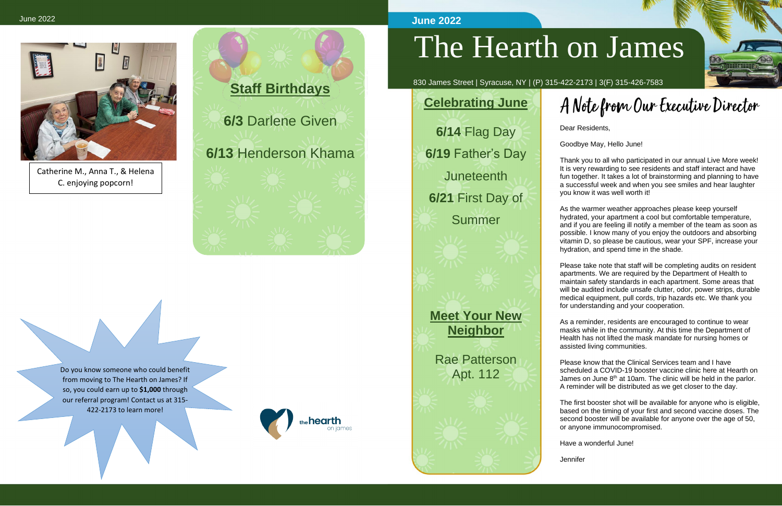

# The Hearth on James

830 James Street | Syracuse, NY | (P) 315-422-2173 | 3(F) 315-426-7583

Dear Residents,

Goodbye May, Hello June!

Thank you to all who participated in our annual Live More week! It is very rewarding to see residents and staff interact and have fun together. It takes a lot of brainstorming and planning to have a successful week and when you see smiles and hear laughter you know it was well worth it!

As the warmer weather approaches please keep yourself hydrated, your apartment a cool but comfortable temperature, and if you are feeling ill notify a member of the team as soon as possible. I know many of you enjoy the outdoors and absorbing vitamin D, so please be cautious, wear your SPF, increase your hydration, and spend time in the shade.

Please take note that staff will be completing audits on resident apartments. We are required by the Department of Health to maintain safety standards in each apartment. Some areas that will be audited include unsafe clutter, odor, power strips, durable medical equipment, pull cords, trip hazards etc. We thank you for understanding and your cooperation.

As a reminder, residents are encouraged to continue to wear masks while in the community. At this time the Department of Health has not lifted the mask mandate for nursing homes or assisted living communities.

Please know that the Clinical Services team and I have scheduled a COVID-19 booster vaccine clinic here at Hearth on James on June 8<sup>th</sup> at 10am. The clinic will be held in the parlor. A reminder will be distributed as we get closer to the day.

The first booster shot will be available for anyone who is eligible, based on the timing of your first and second vaccine doses. The second booster will be available for anyone over the age of 50, or anyone immunocompromised.

Have a wonderful June!

**Jennifer** 



# A Note from Our Executive Director

#### **June 2022**

## **Celebrating June**

**6/14** Flag Day **6/19** Father's Day **Juneteenth 6/21** First Day of

Summer

#### **Meet Your New Neighbor**

#### Rae Patterson Apt. 112









Catherine M., Anna T., & Helena C. enjoying popcorn!